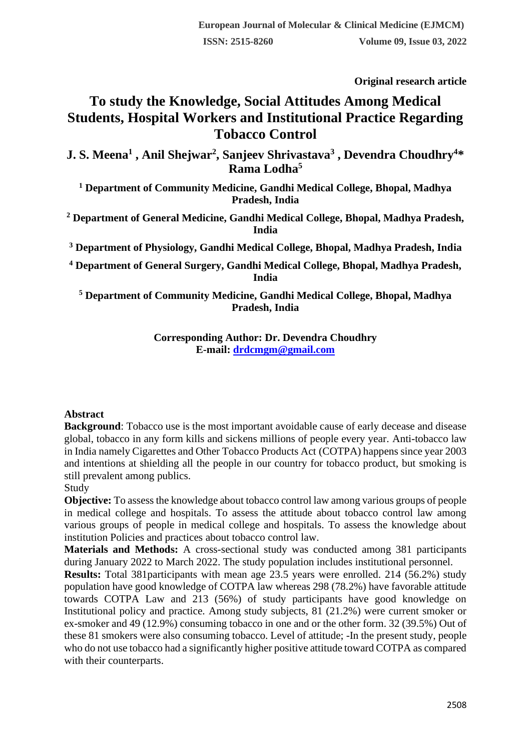**Original research article** 

# **To study the Knowledge, Social Attitudes Among Medical Students, Hospital Workers and Institutional Practice Regarding Tobacco Control**

**J. S. Meena<sup>1</sup> , Anil Shejwar<sup>2</sup> , Sanjeev Shrivastava<sup>3</sup> , Devendra Choudhry<sup>4</sup>\* Rama Lodha<sup>5</sup>**

**<sup>1</sup> Department of Community Medicine, Gandhi Medical College, Bhopal, Madhya Pradesh, India**

**<sup>2</sup> Department of General Medicine, Gandhi Medical College, Bhopal, Madhya Pradesh, India**

**<sup>3</sup> Department of Physiology, Gandhi Medical College, Bhopal, Madhya Pradesh, India**

**<sup>4</sup> Department of General Surgery, Gandhi Medical College, Bhopal, Madhya Pradesh, India**

**<sup>5</sup> Department of Community Medicine, Gandhi Medical College, Bhopal, Madhya Pradesh, India**

> **Corresponding Author: Dr. Devendra Choudhry E-mail: [drdcmgm@gmail.com](mailto:drdcmgm@gmail.com)**

#### **Abstract**

**Background**: Tobacco use is the most important avoidable cause of early decease and disease global, tobacco in any form kills and sickens millions of people every year. Anti-tobacco law in India namely Cigarettes and Other Tobacco Products Act (COTPA) happens since year 2003 and intentions at shielding all the people in our country for tobacco product, but smoking is still prevalent among publics.

#### Study

**Objective:** To assess the knowledge about tobacco control law among various groups of people in medical college and hospitals. To assess the attitude about tobacco control law among various groups of people in medical college and hospitals. To assess the knowledge about institution Policies and practices about tobacco control law.

**Materials and Methods:** A cross-sectional study was conducted among 381 participants during January 2022 to March 2022. The study population includes institutional personnel.

**Results:** Total 381participants with mean age 23.5 years were enrolled. 214 (56.2%) study population have good knowledge of COTPA law whereas 298 (78.2%) have favorable attitude towards COTPA Law and 213 (56%) of study participants have good knowledge on Institutional policy and practice. Among study subjects, 81 (21.2%) were current smoker or ex-smoker and 49 (12.9%) consuming tobacco in one and or the other form. 32 (39.5%) Out of these 81 smokers were also consuming tobacco. Level of attitude; -In the present study, people who do not use tobacco had a significantly higher positive attitude toward COTPA as compared with their counterparts.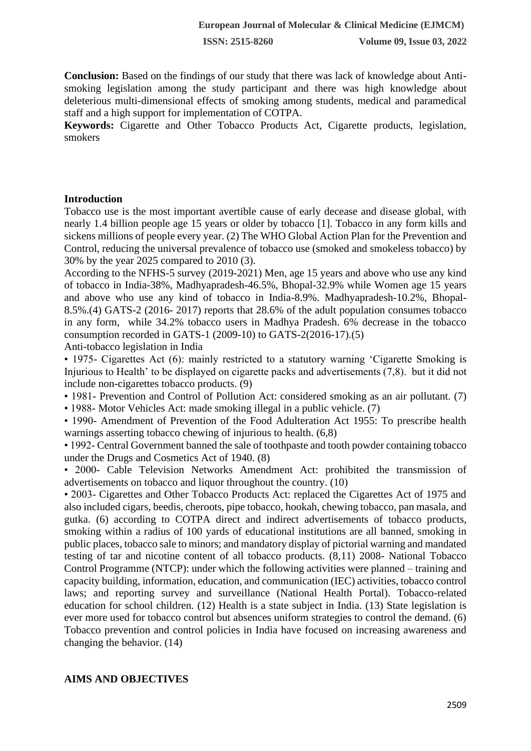**Conclusion:** Based on the findings of our study that there was lack of knowledge about Antismoking legislation among the study participant and there was high knowledge about deleterious multi-dimensional effects of smoking among students, medical and paramedical staff and a high support for implementation of COTPA.

**Keywords:** Cigarette and Other Tobacco Products Act, Cigarette products, legislation, smokers

#### **Introduction**

Tobacco use is the most important avertible cause of early decease and disease global, with nearly 1.4 billion people age 15 years or older by tobacco [1]. Tobacco in any form kills and sickens millions of people every year. (2) The WHO Global Action Plan for the Prevention and Control, reducing the universal prevalence of tobacco use (smoked and smokeless tobacco) by 30% by the year 2025 compared to 2010 (3).

According to the NFHS-5 survey (2019-2021) Men, age 15 years and above who use any kind of tobacco in India-38%, Madhyapradesh-46.5%, Bhopal-32.9% while Women age 15 years and above who use any kind of tobacco in India-8.9%. Madhyapradesh-10.2%, Bhopal-8.5%.(4) GATS-2 (2016- 2017) reports that 28.6% of the adult population consumes tobacco in any form, while 34.2% tobacco users in Madhya Pradesh. 6% decrease in the tobacco consumption recorded in GATS-1 (2009-10) to GATS-2(2016-17).(5)

Anti-tobacco legislation in India

• 1975- Cigarettes Act (6): mainly restricted to a statutory warning 'Cigarette Smoking is Injurious to Health' to be displayed on cigarette packs and advertisements (7,8). but it did not include non-cigarettes tobacco products. (9)

• 1981- Prevention and Control of Pollution Act: considered smoking as an air pollutant. (7)

• 1988- Motor Vehicles Act: made smoking illegal in a public vehicle. (7)

• 1990- Amendment of Prevention of the Food Adulteration Act 1955: To prescribe health warnings asserting tobacco chewing of injurious to health. (6,8)

• 1992- Central Government banned the sale of toothpaste and tooth powder containing tobacco under the Drugs and Cosmetics Act of 1940. (8)

• 2000- Cable Television Networks Amendment Act: prohibited the transmission of advertisements on tobacco and liquor throughout the country. (10)

• 2003- Cigarettes and Other Tobacco Products Act: replaced the Cigarettes Act of 1975 and also included cigars, beedis, cheroots, pipe tobacco, hookah, chewing tobacco, pan masala, and gutka. (6) according to COTPA direct and indirect advertisements of tobacco products, smoking within a radius of 100 yards of educational institutions are all banned, smoking in public places, tobacco sale to minors; and mandatory display of pictorial warning and mandated testing of tar and nicotine content of all tobacco products. (8,11) 2008- National Tobacco Control Programme (NTCP): under which the following activities were planned – training and capacity building, information, education, and communication (IEC) activities, tobacco control laws; and reporting survey and surveillance (National Health Portal). Tobacco-related education for school children. (12) Health is a state subject in India. (13) State legislation is ever more used for tobacco control but absences uniform strategies to control the demand. (6) Tobacco prevention and control policies in India have focused on increasing awareness and changing the behavior. (14)

#### **AIMS AND OBJECTIVES**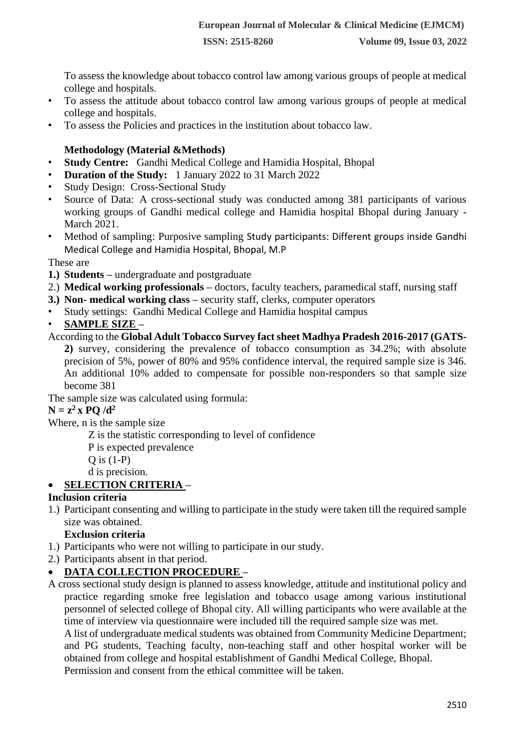To assess the knowledge about tobacco control law among various groups of people at medical college and hospitals.

- To assess the attitude about tobacco control law among various groups of people at medical college and hospitals.
- To assess the Policies and practices in the institution about tobacco law.

## **Methodology (Material &Methods)**

- **Study Centre:** Gandhi Medical College and Hamidia Hospital, Bhopal
- **Duration of the Study:** 1 January 2022 to 31 March 2022
- Study Design: Cross-Sectional Study
- Source of Data: A cross-sectional study was conducted among 381 participants of various working groups of Gandhi medical college and Hamidia hospital Bhopal during January - March 2021.
- Method of sampling: Purposive sampling Study participants: Different groups inside Gandhi Medical College and Hamidia Hospital, Bhopal, M.P

#### These are

- **1.) Students –** undergraduate and postgraduate
- 2.) **Medical working professionals –** doctors, faculty teachers, paramedical staff, nursing staff
- **3.) Non- medical working class –** security staff, clerks, computer operators
- Study settings: Gandhi Medical College and Hamidia hospital campus
- **SAMPLE SIZE –**

According to the **Global Adult Tobacco Survey fact sheet Madhya Pradesh 2016-2017 (GATS-**

**2)** survey, considering the prevalence of tobacco consumption as 34.2%; with absolute precision of 5%, power of 80% and 95% confidence interval, the required sample size is 346. An additional 10% added to compensate for possible non-responders so that sample size become 381

The sample size was calculated using formula:

# $N = z^2$ **x PQ** /d<sup>2</sup>

Where, n is the sample size

Z is the statistic corresponding to level of confidence

P is expected prevalence

- Q is (1-P)
- d is precision.

# • **SELECTION CRITERIA –**

# **Inclusion criteria**

1.) Participant consenting and willing to participate in the study were taken till the required sample size was obtained.

# **Exclusion criteria**

- 1.) Participants who were not willing to participate in our study.
- 2.) Participants absent in that period.

# • **DATA COLLECTION PROCEDURE –**

A cross sectional study design is planned to assess knowledge, attitude and institutional policy and practice regarding smoke free legislation and tobacco usage among various institutional personnel of selected college of Bhopal city. All willing participants who were available at the time of interview via questionnaire were included till the required sample size was met.

A list of undergraduate medical students was obtained from Community Medicine Department; and PG students, Teaching faculty, non-teaching staff and other hospital worker will be obtained from college and hospital establishment of Gandhi Medical College, Bhopal.

Permission and consent from the ethical committee will be taken.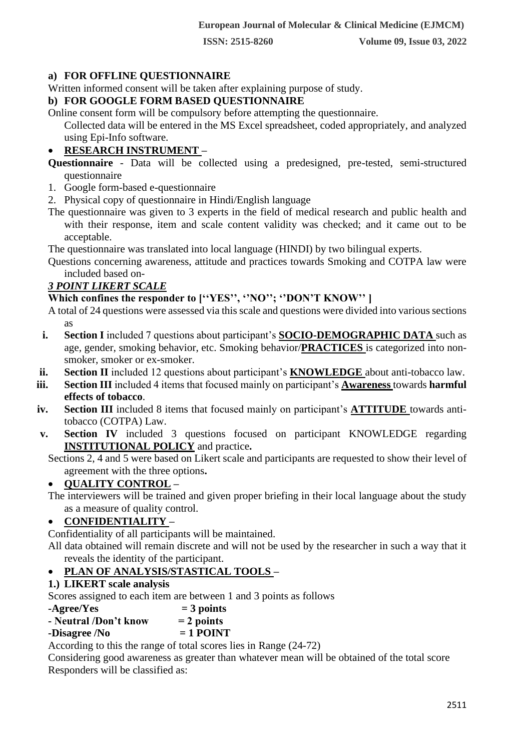# **a) FOR OFFLINE QUESTIONNAIRE**

Written informed consent will be taken after explaining purpose of study.

## **b) FOR GOOGLE FORM BASED QUESTIONNAIRE**

Online consent form will be compulsory before attempting the questionnaire.

Collected data will be entered in the MS Excel spreadsheet, coded appropriately, and analyzed using Epi-Info software.

# • **RESEARCH INSTRUMENT –**

**Questionnaire** - Data will be collected using a predesigned, pre-tested, semi-structured questionnaire

- 1. Google form-based e-questionnaire
- 2. Physical copy of questionnaire in Hindi/English language
- The questionnaire was given to 3 experts in the field of medical research and public health and with their response, item and scale content validity was checked; and it came out to be acceptable.

The questionnaire was translated into local language (HINDI) by two bilingual experts.

Questions concerning awareness, attitude and practices towards Smoking and COTPA law were included based on-

# *3 POINT LIKERT SCALE*

# **Which confines the responder to [''YES'', ''NO''; ''DON'T KNOW'' ]**

- A total of 24 questions were assessed via this scale and questions were divided into various sections as
- **i. Section I** included 7 questions about participant's **SOCIO-DEMOGRAPHIC DATA** such as age, gender, smoking behavior, etc. Smoking behavior/**PRACTICES** is categorized into nonsmoker, smoker or ex-smoker.
- **ii. Section II** included 12 questions about participant's **KNOWLEDGE** about anti-tobacco law.
- **iii. Section III** included 4 items that focused mainly on participant's **Awareness** towards **harmful effects of tobacco**.
- **iv. Section III** included 8 items that focused mainly on participant's **ATTITUDE** towards antitobacco (COTPA) Law.
- **v. Section IV** included 3 questions focused on participant KNOWLEDGE regarding **INSTITUTIONAL POLICY** and practice**.**

Sections 2, 4 and 5 were based on Likert scale and participants are requested to show their level of agreement with the three options**.** 

# • **QUALITY CONTROL –**

The interviewers will be trained and given proper briefing in their local language about the study as a measure of quality control.

# • **CONFIDENTIALITY –**

Confidentiality of all participants will be maintained.

All data obtained will remain discrete and will not be used by the researcher in such a way that it reveals the identity of the participant.

# • **PLAN OF ANALYSIS/STASTICAL TOOLS –**

# **1.) LIKERT scale analysis**

Scores assigned to each item are between 1 and 3 points as follows

- $-A\text{gree}/\text{Yes}$  = 3 points
- **- Neutral /Don't know = 2 points**

# $-I POINT$

According to this the range of total scores lies in Range (24-72)

Considering good awareness as greater than whatever mean will be obtained of the total score Responders will be classified as: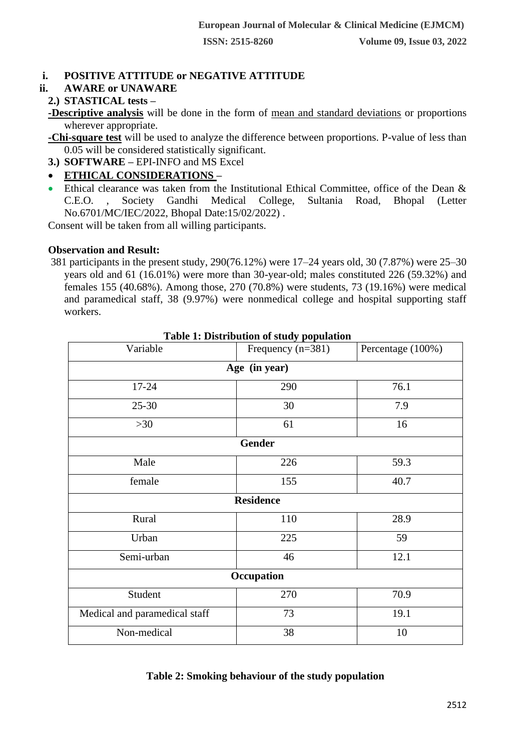# **i. POSITIVE ATTITUDE or NEGATIVE ATTITUDE**

#### **ii. AWARE or UNAWARE**

#### **2.) STASTICAL tests –**

**-Descriptive analysis** will be done in the form of mean and standard deviations or proportions wherever appropriate.

**-Chi-square test** will be used to analyze the difference between proportions. P-value of less than 0.05 will be considered statistically significant.

**3.) SOFTWARE –** EPI-INFO and MS Excel

# • **ETHICAL CONSIDERATIONS –**

• Ethical clearance was taken from the Institutional Ethical Committee, office of the Dean & C.E.O. , Society Gandhi Medical College, Sultania Road, Bhopal (Letter No.6701/MC/IEC/2022, Bhopal Date:15/02/2022) .

Consent will be taken from all willing participants.

#### **Observation and Result:**

381 participants in the present study, 290(76.12%) were 17–24 years old, 30 (7.87%) were 25–30 years old and 61 (16.01%) were more than 30-year-old; males constituted 226 (59.32%) and females 155 (40.68%). Among those, 270 (70.8%) were students, 73 (19.16%) were medical and paramedical staff, 38 (9.97%) were nonmedical college and hospital supporting staff workers.

| Variable                      | Frequency $(n=381)$ | Percentage (100%) |  |  |  |  |  |  |  |
|-------------------------------|---------------------|-------------------|--|--|--|--|--|--|--|
| Age (in year)                 |                     |                   |  |  |  |  |  |  |  |
| $17 - 24$                     | 290                 | 76.1              |  |  |  |  |  |  |  |
| $25 - 30$                     | 30                  | 7.9               |  |  |  |  |  |  |  |
| $>30$                         | 61                  | 16                |  |  |  |  |  |  |  |
|                               | <b>Gender</b>       |                   |  |  |  |  |  |  |  |
| Male                          | 226                 | 59.3              |  |  |  |  |  |  |  |
| female                        | 155                 | 40.7              |  |  |  |  |  |  |  |
|                               | <b>Residence</b>    |                   |  |  |  |  |  |  |  |
| Rural                         | 110                 | 28.9              |  |  |  |  |  |  |  |
| Urban                         | 225                 | 59                |  |  |  |  |  |  |  |
| Semi-urban                    | 46                  | 12.1              |  |  |  |  |  |  |  |
| Occupation                    |                     |                   |  |  |  |  |  |  |  |
| Student                       | 270                 | 70.9              |  |  |  |  |  |  |  |
| Medical and paramedical staff | 73                  | 19.1              |  |  |  |  |  |  |  |
| Non-medical                   | 38                  | 10                |  |  |  |  |  |  |  |

#### **Table 1: Distribution of study population**

#### **Table 2: Smoking behaviour of the study population**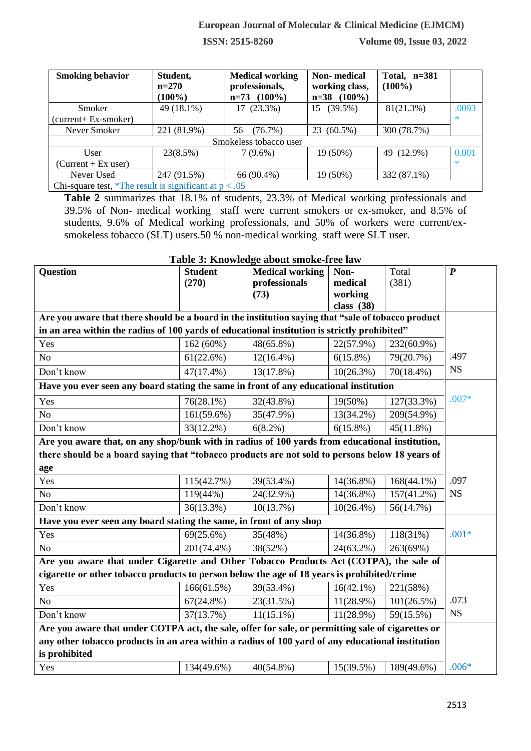**ISSN: 2515-8260 Volume 09, Issue 03, 2022**

| <b>Smoking behavior</b>                                       | Student,<br>$n=270$<br>$(100\%)$ | <b>Medical working</b><br>professionals,<br>$n=73$ (100%) | Non-medical<br>working class,<br>$n=38$ (100%) | Total, $n=381$<br>$(100\%)$ |        |
|---------------------------------------------------------------|----------------------------------|-----------------------------------------------------------|------------------------------------------------|-----------------------------|--------|
| Smoker                                                        | 49 (18.1%)                       | 17 (23.3%)                                                | $(39.5\%)$<br>15                               | 81(21.3%)                   | .0093  |
| $(current + Ex-smoker)$                                       |                                  |                                                           |                                                |                             | $\ast$ |
| Never Smoker                                                  | 221 (81.9%)                      | (76.7%)<br>56                                             | $(60.5\%)$<br>23                               | 300 (78.7%)                 |        |
|                                                               |                                  | Smokeless tobacco user                                    |                                                |                             |        |
| User                                                          | 23(8.5%)                         | $7(9.6\%)$                                                | 19 (50%)                                       | 49 (12.9%)                  | 0.001  |
| $(Current + Ex user)$                                         |                                  |                                                           |                                                |                             | $\ast$ |
| Never Used                                                    | 247 (91.5%)                      | 66 (90.4%)                                                | 19 (50%)                                       | 332 (87.1%)                 |        |
| Chi square test $*$ The result is significant at $n \geq 0.5$ |                                  |                                                           |                                                |                             |        |

Chi-square test, \*The result is significant at  $p < .05$ **Table 2** summarizes that 18.1% of students, 23.3% of Medical working professionals and

39.5% of Non- medical working staff were current smokers or ex-smoker, and 8.5% of students, 9.6% of Medical working professionals, and 50% of workers were current/exsmokeless tobacco (SLT) users.50 % non-medical working staff were SLT user.

| Table 3: Knowledge about smoke-free law                                                            |                |                        |              |               |                  |  |  |  |  |
|----------------------------------------------------------------------------------------------------|----------------|------------------------|--------------|---------------|------------------|--|--|--|--|
| <b>Question</b>                                                                                    | <b>Student</b> | <b>Medical working</b> | Non-         | Total         | $\boldsymbol{P}$ |  |  |  |  |
|                                                                                                    | (270)          | professionals          | medical      | (381)         |                  |  |  |  |  |
|                                                                                                    |                | (73)                   | working      |               |                  |  |  |  |  |
|                                                                                                    |                |                        | class $(38)$ |               |                  |  |  |  |  |
| Are you aware that there should be a board in the institution saying that "sale of tobacco product |                |                        |              |               |                  |  |  |  |  |
| in an area within the radius of 100 yards of educational institution is strictly prohibited"       |                |                        |              |               |                  |  |  |  |  |
| Yes                                                                                                | 162(60%)       | 48(65.8%)              | 22(57.9%)    | 232(60.9%)    |                  |  |  |  |  |
| N <sub>o</sub>                                                                                     | 61(22.6%)      | $12(16.4\%)$           | $6(15.8\%)$  | 79(20.7%)     | .497             |  |  |  |  |
| Don't know                                                                                         | $47(17.4\%)$   | $13(17.8\%)$           | $10(26.3\%)$ | $70(18.4\%)$  | <b>NS</b>        |  |  |  |  |
| Have you ever seen any board stating the same in front of any educational institution              |                |                        |              |               |                  |  |  |  |  |
| Yes                                                                                                | $76(28.1\%)$   | 32(43.8%)              | 19(50%)      | 127(33.3%)    | $.007*$          |  |  |  |  |
| N <sub>o</sub>                                                                                     | 161(59.6%)     | 35(47.9%)              | 13(34.2%)    | 209(54.9%)    |                  |  |  |  |  |
| Don't know                                                                                         | $33(12.2\%)$   | $6(8.2\%)$             | $6(15.8\%)$  | $45(11.8\%)$  |                  |  |  |  |  |
| Are you aware that, on any shop/bunk with in radius of 100 yards from educational institution,     |                |                        |              |               |                  |  |  |  |  |
| there should be a board saying that "tobacco products are not sold to persons below 18 years of    |                |                        |              |               |                  |  |  |  |  |
| age                                                                                                |                |                        |              |               |                  |  |  |  |  |
| Yes                                                                                                | 115(42.7%)     | 39(53.4%)              | 14(36.8%)    | $168(44.1\%)$ | .097             |  |  |  |  |
| N <sub>o</sub>                                                                                     | 119(44%)       | 24(32.9%)              | $14(36.8\%)$ | 157(41.2%)    | <b>NS</b>        |  |  |  |  |
| Don't know                                                                                         | 36(13.3%)      | 10(13.7%)              | $10(26.4\%)$ | 56(14.7%)     |                  |  |  |  |  |
| Have you ever seen any board stating the same, in front of any shop                                |                |                        |              |               |                  |  |  |  |  |
| Yes                                                                                                | $69(25.6\%)$   | 35(48%)                | 14(36.8%)    | 118(31%)      | $.001*$          |  |  |  |  |
| N <sub>o</sub>                                                                                     | 201(74.4%)     | 38(52%)                | 24(63.2%)    | 263(69%)      |                  |  |  |  |  |
| Are you aware that under Cigarette and Other Tobacco Products Act (COTPA), the sale of             |                |                        |              |               |                  |  |  |  |  |
| cigarette or other tobacco products to person below the age of 18 years is prohibited/crime        |                |                        |              |               |                  |  |  |  |  |
| Yes                                                                                                | 166(61.5%)     | 39(53.4%)              | $16(42.1\%)$ | 221(58%)      |                  |  |  |  |  |
| N <sub>o</sub>                                                                                     | $67(24.8\%)$   | 23(31.5%)              | $11(28.9\%)$ | 101(26.5%)    | .073             |  |  |  |  |
| Don't know                                                                                         | 37(13.7%)      | $11(15.1\%)$           | $11(28.9\%)$ | 59(15.5%)     | <b>NS</b>        |  |  |  |  |
| Are you aware that under COTPA act, the sale, offer for sale, or permitting sale of cigarettes or  |                |                        |              |               |                  |  |  |  |  |
| any other tobacco products in an area within a radius of 100 yard of any educational institution   |                |                        |              |               |                  |  |  |  |  |
| is prohibited                                                                                      |                |                        |              |               |                  |  |  |  |  |
| Yes                                                                                                | 134(49.6%)     | 40(54.8%)              | 15(39.5%)    | 189(49.6%)    | $.006*$          |  |  |  |  |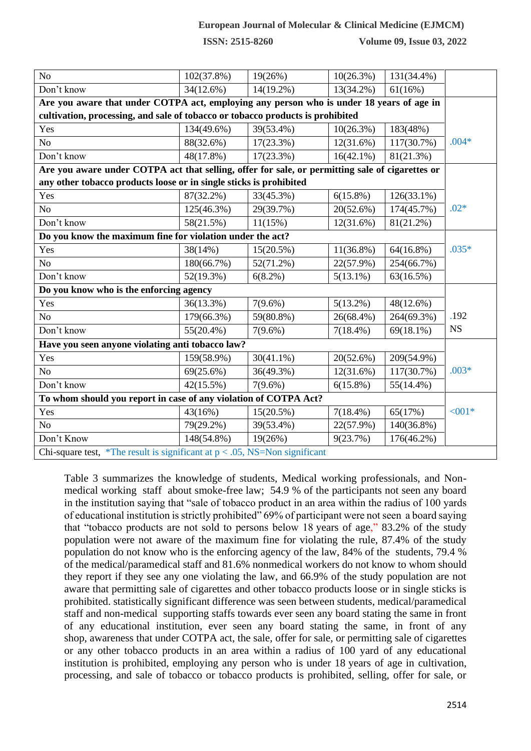**ISSN: 2515-8260 Volume 09, Issue 03, 2022**

| N <sub>o</sub>                                                                           | 102(37.8%)                                                                                      | $19(26\%)$   | $10(26.3\%)$ | 131(34.4%)    |           |  |  |  |  |  |
|------------------------------------------------------------------------------------------|-------------------------------------------------------------------------------------------------|--------------|--------------|---------------|-----------|--|--|--|--|--|
| Don't know                                                                               | 34(12.6%)                                                                                       | 14(19.2%)    | 13(34.2%)    | 61(16%)       |           |  |  |  |  |  |
| Are you aware that under COTPA act, employing any person who is under 18 years of age in |                                                                                                 |              |              |               |           |  |  |  |  |  |
| cultivation, processing, and sale of tobacco or tobacco products is prohibited           |                                                                                                 |              |              |               |           |  |  |  |  |  |
| Yes                                                                                      | 134(49.6%)                                                                                      | 39(53.4%)    | $10(26.3\%)$ | 183(48%)      |           |  |  |  |  |  |
| N <sub>o</sub>                                                                           | 88(32.6%)                                                                                       | $17(23.3\%)$ | 12(31.6%)    | 117(30.7%)    | $.004*$   |  |  |  |  |  |
| Don't know                                                                               | 48(17.8%)                                                                                       | $17(23.3\%)$ | $16(42.1\%)$ | 81(21.3%)     |           |  |  |  |  |  |
|                                                                                          | Are you aware under COTPA act that selling, offer for sale, or permitting sale of cigarettes or |              |              |               |           |  |  |  |  |  |
| any other tobacco products loose or in single sticks is prohibited                       |                                                                                                 |              |              |               |           |  |  |  |  |  |
| Yes                                                                                      | 87(32.2%)                                                                                       | 33(45.3%)    | $6(15.8\%)$  | $126(33.1\%)$ |           |  |  |  |  |  |
| N <sub>o</sub>                                                                           | 125(46.3%)                                                                                      | 29(39.7%)    | 20(52.6%)    | 174(45.7%)    | $.02*$    |  |  |  |  |  |
| Don't know                                                                               | 58(21.5%)                                                                                       | 11(15%)      | 12(31.6%)    | 81(21.2%)     |           |  |  |  |  |  |
| Do you know the maximum fine for violation under the act?                                |                                                                                                 |              |              |               |           |  |  |  |  |  |
| Yes                                                                                      | 38(14%)                                                                                         | $15(20.5\%)$ | $11(36.8\%)$ | $64(16.8\%)$  | $.035*$   |  |  |  |  |  |
| No                                                                                       | 180(66.7%)                                                                                      | $52(71.2\%)$ | 22(57.9%)    | 254(66.7%)    |           |  |  |  |  |  |
| Don't know                                                                               | 52(19.3%)                                                                                       | $6(8.2\%)$   | $5(13.1\%)$  | 63(16.5%)     |           |  |  |  |  |  |
| Do you know who is the enforcing agency                                                  |                                                                                                 |              |              |               |           |  |  |  |  |  |
| Yes                                                                                      | 36(13.3%)                                                                                       | $7(9.6\%)$   | $5(13.2\%)$  | 48(12.6%)     |           |  |  |  |  |  |
| N <sub>o</sub>                                                                           | 179(66.3%)                                                                                      | 59(80.8%)    | $26(68.4\%)$ | 264(69.3%)    | .192      |  |  |  |  |  |
| Don't know                                                                               | $55(20.4\%)$                                                                                    | $7(9.6\%)$   | $7(18.4\%)$  | $69(18.1\%)$  | <b>NS</b> |  |  |  |  |  |
| Have you seen anyone violating anti tobacco law?                                         |                                                                                                 |              |              |               |           |  |  |  |  |  |
| Yes                                                                                      | 159(58.9%)                                                                                      | $30(41.1\%)$ | 20(52.6%)    | 209(54.9%)    |           |  |  |  |  |  |
| N <sub>o</sub>                                                                           | 69(25.6%)                                                                                       | 36(49.3%)    | 12(31.6%)    | 117(30.7%)    | $.003*$   |  |  |  |  |  |
| Don't know                                                                               | 42(15.5%)                                                                                       | $7(9.6\%)$   | $6(15.8\%)$  | $55(14.4\%)$  |           |  |  |  |  |  |
| To whom should you report in case of any violation of COTPA Act?                         |                                                                                                 |              |              |               |           |  |  |  |  |  |
| Yes                                                                                      | 43(16%)                                                                                         | $15(20.5\%)$ | $7(18.4\%)$  | 65(17%)       | $< 001*$  |  |  |  |  |  |
| N <sub>o</sub>                                                                           | 79(29.2%)                                                                                       | $39(53.4\%)$ | 22(57.9%)    | 140(36.8%)    |           |  |  |  |  |  |
| Don't Know                                                                               | 148(54.8%)                                                                                      | 19(26%)      | 9(23.7%)     | 176(46.2%)    |           |  |  |  |  |  |
| Chi-square test, *The result is significant at $p < .05$ , NS=Non significant            |                                                                                                 |              |              |               |           |  |  |  |  |  |

Table 3 summarizes the knowledge of students, Medical working professionals, and Nonmedical working staff about smoke-free law; 54.9 % of the participants not seen any board in the institution saying that "sale of tobacco product in an area within the radius of 100 yards of educational institution is strictly prohibited" 69% of participant were not seen a board saying that "tobacco products are not sold to persons below 18 years of age," 83.2% of the study population were not aware of the maximum fine for violating the rule, 87.4% of the study population do not know who is the enforcing agency of the law, 84% of the students, 79.4 % of the medical/paramedical staff and 81.6% nonmedical workers do not know to whom should they report if they see any one violating the law, and 66.9% of the study population are not aware that permitting sale of cigarettes and other tobacco products loose or in single sticks is prohibited. statistically significant difference was seen between students, medical/paramedical staff and non-medical supporting staffs towards ever seen any board stating the same in front of any educational institution, ever seen any board stating the same, in front of any shop, awareness that under COTPA act, the sale, offer for sale, or permitting sale of cigarettes or any other tobacco products in an area within a radius of 100 yard of any educational institution is prohibited, employing any person who is under 18 years of age in cultivation, processing, and sale of tobacco or tobacco products is prohibited, selling, offer for sale, or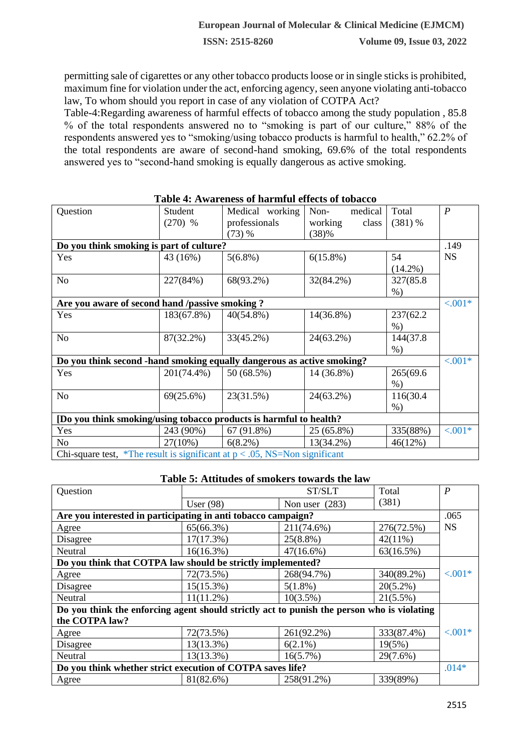permitting sale of cigarettes or any other tobacco products loose or in single sticks is prohibited, maximum fine for violation under the act, enforcing agency, seen anyone violating anti-tobacco law, To whom should you report in case of any violation of COTPA Act?

Table-4:Regarding awareness of harmful effects of tobacco among the study population , 85.8 % of the total respondents answered no to "smoking is part of our culture," 88% of the respondents answered yes to "smoking/using tobacco products is harmful to health," 62.2% of the total respondents are aware of second-hand smoking, 69.6% of the total respondents answered yes to "second-hand smoking is equally dangerous as active smoking.

| Question                                                                      | Student<br>$(270)$ %                             | Medical working<br>professionals<br>(73) % | Non-<br>medical<br>working<br>class<br>(38)% | Total<br>$(381)$ %  | $\boldsymbol{P}$ |  |  |  |  |  |
|-------------------------------------------------------------------------------|--------------------------------------------------|--------------------------------------------|----------------------------------------------|---------------------|------------------|--|--|--|--|--|
|                                                                               | Do you think smoking is part of culture?<br>.149 |                                            |                                              |                     |                  |  |  |  |  |  |
| Yes                                                                           | 43 (16%)                                         | $5(6.8\%)$                                 | $6(15.8\%)$                                  | 54<br>$(14.2\%)$    | <b>NS</b>        |  |  |  |  |  |
| N <sub>o</sub>                                                                | 227(84%)                                         | 68(93.2%)                                  | 32(84.2%)                                    | 327(85.8)<br>$\%$ ) |                  |  |  |  |  |  |
| Are you aware of second hand /passive smoking?                                |                                                  |                                            |                                              |                     | $< .001*$        |  |  |  |  |  |
| Yes                                                                           | 183(67.8%)                                       | $40(54.8\%)$                               | 14(36.8%)                                    | 237(62.2<br>$\%$ )  |                  |  |  |  |  |  |
| N <sub>o</sub>                                                                | 87(32.2%)                                        | 33(45.2%)                                  | 24(63.2%)                                    | 144(37.8)<br>$%$ )  |                  |  |  |  |  |  |
| Do you think second -hand smoking equally dangerous as active smoking?        |                                                  |                                            |                                              |                     | $< .001*$        |  |  |  |  |  |
| Yes                                                                           | 201(74.4%)                                       | 50 (68.5%)                                 | 14 (36.8%)                                   | 265(69.6<br>$%$ )   |                  |  |  |  |  |  |
| N <sub>o</sub>                                                                | 69(25.6%)                                        | 23(31.5%)                                  | 24(63.2%)                                    | 116(30.4)<br>$%$ )  |                  |  |  |  |  |  |
| [Do you think smoking/using tobacco products is harmful to health?            |                                                  |                                            |                                              |                     |                  |  |  |  |  |  |
| Yes                                                                           | 243 (90%)                                        | 67(91.8%)                                  | 25 (65.8%)                                   | 335(88%)            | $< .001*$        |  |  |  |  |  |
| No                                                                            | $27(10\%)$                                       | $6(8.2\%)$                                 | 13(34.2%)                                    | 46(12%)             |                  |  |  |  |  |  |
| Chi-square test, *The result is significant at $p < .05$ , NS=Non significant |                                                  |                                            |                                              |                     |                  |  |  |  |  |  |

#### **Table 4: Awareness of harmful effects of tobacco**

**Table 5: Attitudes of smokers towards the law**

| Question                                                                                   |              | Total        | $\boldsymbol{P}$ |           |  |  |  |  |  |
|--------------------------------------------------------------------------------------------|--------------|--------------|------------------|-----------|--|--|--|--|--|
|                                                                                            | User $(98)$  | (381)        |                  |           |  |  |  |  |  |
| Are you interested in participating in anti tobacco campaign?                              |              |              |                  |           |  |  |  |  |  |
| Agree                                                                                      | 65(66.3%)    | 211(74.6%)   | 276(72.5%)       | <b>NS</b> |  |  |  |  |  |
| Disagree                                                                                   | 17(17.3%)    | $25(8.8\%)$  | $42(11\%)$       |           |  |  |  |  |  |
| Neutral                                                                                    | $16(16.3\%)$ | $47(16.6\%)$ | 63(16.5%)        |           |  |  |  |  |  |
| Do you think that COTPA law should be strictly implemented?                                |              |              |                  |           |  |  |  |  |  |
| Agree                                                                                      | 72(73.5%)    | 268(94.7%)   | 340(89.2%)       | $< .001*$ |  |  |  |  |  |
| Disagree                                                                                   | $15(15.3\%)$ | $5(1.8\%)$   | $20(5.2\%)$      |           |  |  |  |  |  |
| Neutral                                                                                    | $11(11.2\%)$ | $10(3.5\%)$  | $21(5.5\%)$      |           |  |  |  |  |  |
| Do you think the enforcing agent should strictly act to punish the person who is violating |              |              |                  |           |  |  |  |  |  |
| the COTPA law?                                                                             |              |              |                  |           |  |  |  |  |  |
| Agree                                                                                      | 72(73.5%)    | 261(92.2%)   | 333(87.4%)       | $< .001*$ |  |  |  |  |  |
| Disagree                                                                                   | $13(13.3\%)$ | $6(2.1\%)$   | 19(5%)           |           |  |  |  |  |  |
| Neutral                                                                                    | 13(13.3%)    | $16(5.7\%)$  | 29(7.6%)         |           |  |  |  |  |  |
| Do you think whether strict execution of COTPA saves life?                                 |              |              |                  | $.014*$   |  |  |  |  |  |
| Agree                                                                                      | 81(82.6%)    | 258(91.2%)   | 339(89%)         |           |  |  |  |  |  |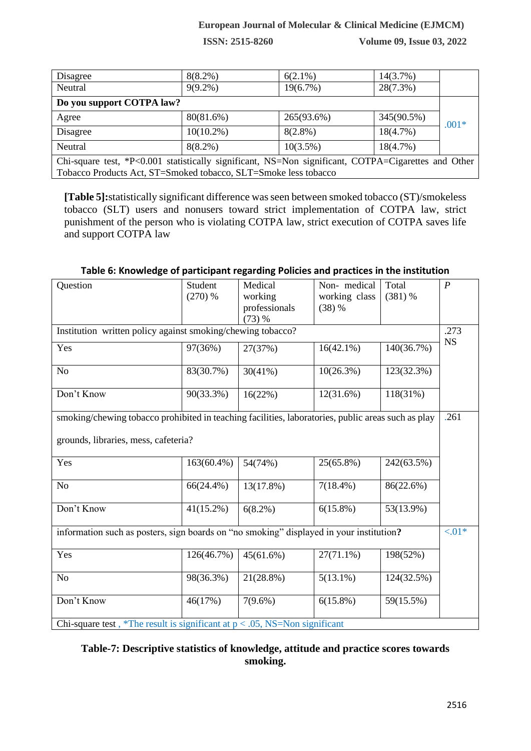**ISSN: 2515-8260 Volume 09, Issue 03, 2022**

| Disagree                                                                                            | $8(8.2\%)$   | $6(2.1\%)$  | $14(3.7\%)$ |         |  |  |  |  |
|-----------------------------------------------------------------------------------------------------|--------------|-------------|-------------|---------|--|--|--|--|
| Neutral                                                                                             | $9(9.2\%)$   | $19(6.7\%)$ | $28(7.3\%)$ |         |  |  |  |  |
| Do you support COTPA law?                                                                           |              |             |             |         |  |  |  |  |
| Agree                                                                                               | 80(81.6%)    | 265(93.6%)  | 345(90.5%)  | $.001*$ |  |  |  |  |
| Disagree                                                                                            | $10(10.2\%)$ | $8(2.8\%)$  | 18(4.7%)    |         |  |  |  |  |
| Neutral                                                                                             | $8(8.2\%)$   | $10(3.5\%)$ | 18(4.7%)    |         |  |  |  |  |
| Chi-square test, *P<0.001 statistically significant, NS=Non significant, COTPA=Cigarettes and Other |              |             |             |         |  |  |  |  |
| Tobacco Products Act, ST=Smoked tobacco, SLT=Smoke less tobacco                                     |              |             |             |         |  |  |  |  |

**[Table 5]:**statistically significant difference was seen between smoked tobacco (ST)/smokeless tobacco (SLT) users and nonusers toward strict implementation of COTPA law, strict punishment of the person who is violating COTPA law, strict execution of COTPA saves life and support COTPA law

| Question                                                                                           | Student      | Medical       | Non-medical   | Total      | $\boldsymbol{P}$ |  |  |  |  |  |  |
|----------------------------------------------------------------------------------------------------|--------------|---------------|---------------|------------|------------------|--|--|--|--|--|--|
|                                                                                                    | $(270)$ %    | working       | working class | $(381)$ %  |                  |  |  |  |  |  |  |
|                                                                                                    |              | professionals | (38) %        |            |                  |  |  |  |  |  |  |
|                                                                                                    |              | (73) %        |               |            |                  |  |  |  |  |  |  |
| Institution written policy against smoking/chewing tobacco?                                        |              |               |               |            |                  |  |  |  |  |  |  |
| Yes                                                                                                | 97(36%)      | 27(37%)       | $16(42.1\%)$  | 140(36.7%) | <b>NS</b>        |  |  |  |  |  |  |
| N <sub>o</sub>                                                                                     | 83(30.7%)    | $30(41\%)$    | $10(26.3\%)$  | 123(32.3%) |                  |  |  |  |  |  |  |
| Don't Know                                                                                         | 90(33.3%)    | 16(22%)       | $12(31.6\%)$  | 118(31%)   |                  |  |  |  |  |  |  |
| smoking/chewing tobacco prohibited in teaching facilities, laboratories, public areas such as play |              |               |               |            | .261             |  |  |  |  |  |  |
|                                                                                                    |              |               |               |            |                  |  |  |  |  |  |  |
| grounds, libraries, mess, cafeteria?                                                               |              |               |               |            |                  |  |  |  |  |  |  |
| Yes                                                                                                | 163(60.4%)   | 54(74%)       | 25(65.8%)     | 242(63.5%) |                  |  |  |  |  |  |  |
| N <sub>o</sub>                                                                                     | $66(24.4\%)$ | $13(17.8\%)$  | $7(18.4\%)$   | 86(22.6%)  |                  |  |  |  |  |  |  |
| Don't Know                                                                                         | $41(15.2\%)$ | $6(8.2\%)$    | $6(15.8\%)$   | 53(13.9%)  |                  |  |  |  |  |  |  |
| information such as posters, sign boards on "no smoking" displayed in your institution?            |              |               |               |            | ${<}01*$         |  |  |  |  |  |  |
| Yes                                                                                                | 126(46.7%)   | 45(61.6%)     | $27(71.1\%)$  | 198(52%)   |                  |  |  |  |  |  |  |
| N <sub>o</sub>                                                                                     | 98(36.3%)    | $21(28.8\%)$  | $5(13.1\%)$   | 124(32.5%) |                  |  |  |  |  |  |  |
| Don't Know                                                                                         | 46(17%)      | $7(9.6\%)$    | $6(15.8\%)$   | 59(15.5%)  |                  |  |  |  |  |  |  |
| Chi-square test, *The result is significant at $p < .05$ , NS=Non significant                      |              |               |               |            |                  |  |  |  |  |  |  |

#### **Table 6: Knowledge of participant regarding Policies and practices in the institution**

**Table-7: Descriptive statistics of knowledge, attitude and practice scores towards smoking.**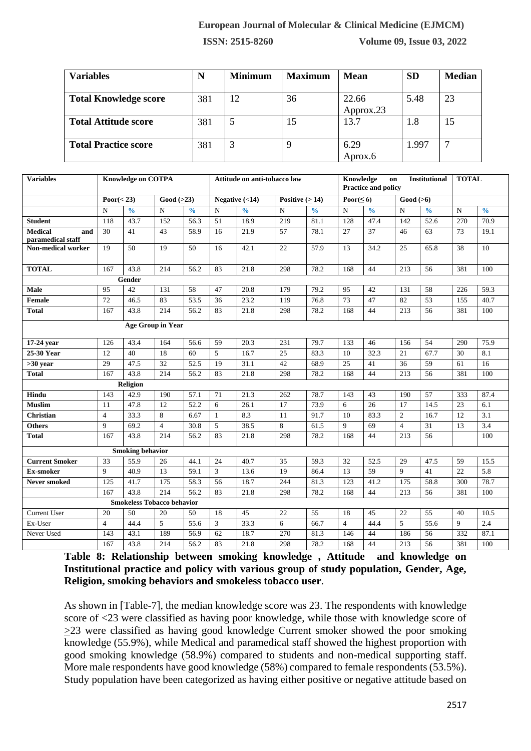**ISSN: 2515-8260 Volume 09, Issue 03, 2022**

| <b>Variables</b>             | N<br><b>Minimum</b> |   | <b>Maximum</b> | <b>Mean</b> | <b>SD</b> | <b>Median</b> |
|------------------------------|---------------------|---|----------------|-------------|-----------|---------------|
|                              |                     |   |                |             |           |               |
| <b>Total Knowledge score</b> | 381                 |   | 36             | 22.66       | 5.48      | 23            |
|                              |                     |   |                | Approx.23   |           |               |
| <b>Total Attitude score</b>  | 381                 |   | 15             | 13.7        | 1.8       | 15            |
|                              |                     |   |                |             |           |               |
| <b>Total Practice score</b>  | 381                 | 3 | 9              | 6.29        | 1.997     | −             |
|                              |                     |   |                | Aprox.6     |           |               |

| <b>Variables</b>                           | <b>Knowledge on COTPA</b> |                                   |                  |               | Attitude on anti-tobacco law |                  |                       | Knowledge<br><b>Institutional</b><br>on<br><b>Practice and policy</b> |                  |               |                               | <b>TOTAL</b>      |             |               |
|--------------------------------------------|---------------------------|-----------------------------------|------------------|---------------|------------------------------|------------------|-----------------------|-----------------------------------------------------------------------|------------------|---------------|-------------------------------|-------------------|-------------|---------------|
|                                            | $\text{Poor}(<23)$        |                                   | Good $(\geq 23)$ |               |                              | Negative $(<14)$ | Positive $( \geq 14)$ |                                                                       | Poor( $\leq 6$ ) |               | $\overline{\text{Good}}$ (>6) |                   |             |               |
|                                            | N                         | $\frac{0}{0}$                     | $\overline{N}$   | $\frac{0}{0}$ | $\mathbf N$                  | $\frac{0}{0}$    | $\mathbf N$           | $\frac{0}{0}$                                                         | $\mathbf N$      | $\frac{0}{0}$ | $\mathbf N$                   | $\frac{0}{0}$     | $\mathbf N$ | $\frac{0}{0}$ |
| <b>Student</b>                             | 118                       | 43.7                              | 152              | 56.3          | $\overline{51}$              | 18.9             | 219                   | 81.1                                                                  | 128              | 47.4          | 142                           | $\overline{52.6}$ | 270         | 70.9          |
| <b>Medical</b><br>and<br>paramedical staff | 30                        | 41                                | 43               | 58.9          | 16                           | 21.9             | 57                    | 78.1                                                                  | 27               | 37            | 46                            | 63                | 73          | 19.1          |
| <b>Non-medical worker</b>                  | 19                        | 50                                | 19               | 50            | 16                           | 42.1             | 22                    | 57.9                                                                  | 13               | 34.2          | 25                            | 65.8              | 38          | 10            |
| <b>TOTAL</b>                               | 167                       | 43.8                              | 214              | 56.2          | 83                           | 21.8             | 298                   | 78.2                                                                  | 168              | 44            | 213                           | 56                | 381         | 100           |
|                                            |                           | Gender                            |                  |               |                              |                  |                       |                                                                       |                  |               |                               |                   |             |               |
| Male                                       | 95                        | 42                                | 131              | 58            | 47                           | 20.8             | 179                   | 79.2                                                                  | 95               | 42            | 131                           | 58                | 226         | 59.3          |
| Female                                     | 72                        | 46.5                              | 83               | 53.5          | 36                           | 23.2             | 119                   | 76.8                                                                  | 73               | 47            | 82                            | 53                | 155         | 40.7          |
| <b>Total</b>                               | 167                       | 43.8                              | 214              | 56.2          | 83                           | 21.8             | 298                   | 78.2                                                                  | 168              | 44            | 213                           | 56                | 381         | 100           |
|                                            |                           | <b>Age Group in Year</b>          |                  |               |                              |                  |                       |                                                                       |                  |               |                               |                   |             |               |
| 17-24 year                                 | 126                       | 43.4                              | 164              | 56.6          | 59                           | 20.3             | 231                   | 79.7                                                                  | 133              | 46            | 156                           | 54                | 290         | 75.9          |
| $25-30$ Year                               | 12                        | 40                                | 18               | 60            | 5                            | 16.7             | 25                    | 83.3                                                                  | 10               | 32.3          | 21                            | 67.7              | 30          | 8.1           |
| $>30$ year                                 | 29                        | 47.5                              | 32               | 52.5          | 19                           | 31.1             | 42                    | 68.9                                                                  | 25               | 41            | 36                            | 59                | 61          | 16            |
| <b>Total</b>                               | 167                       | 43.8                              | 214              | 56.2          | 83                           | 21.8             | 298                   | 78.2                                                                  | 168              | 44            | 213                           | 56                | 381         | 100           |
|                                            |                           | Religion                          |                  |               |                              |                  |                       |                                                                       |                  |               |                               |                   |             |               |
| Hindu                                      | 143                       | 42.9                              | 190              | 57.1          | 71                           | 21.3             | 262                   | 78.7                                                                  | 143              | 43            | 190                           | 57                | 333         | 87.4          |
| <b>Muslim</b>                              | 11                        | 47.8                              | 12               | 52.2          | 6                            | 26.1             | 17                    | 73.9                                                                  | 6                | 26            | 17                            | 14.5              | 23          | 6.1           |
| <b>Christian</b>                           | $\overline{4}$            | 33.3                              | 8                | 6.67          | $\mathbf{1}$                 | 8.3              | 11                    | 91.7                                                                  | 10               | 83.3          | $\overline{2}$                | 16.7              | 12          | 3.1           |
| <b>Others</b>                              | 9                         | 69.2                              | $\overline{4}$   | 30.8          | 5                            | 38.5             | 8                     | 61.5                                                                  | 9                | 69            | $\overline{4}$                | 31                | 13          | 3.4           |
| <b>Total</b>                               | 167                       | 43.8                              | 214              | 56.2          | 83                           | 21.8             | 298                   | 78.2                                                                  | 168              | 44            | 213                           | 56                |             | 100           |
|                                            |                           | <b>Smoking behavior</b>           |                  |               |                              |                  |                       |                                                                       |                  |               |                               |                   |             |               |
| <b>Current Smoker</b>                      | 33                        | 55.9                              | 26               | 44.1          | 24                           | 40.7             | 35                    | 59.3                                                                  | 32               | 52.5          | 29                            | 47.5              | 59          | 15.5          |
| Ex-smoker                                  | 9                         | 40.9                              | 13               | 59.1          | 3                            | 13.6             | 19                    | 86.4                                                                  | 13               | 59            | 9                             | 41                | 22          | 5.8           |
| Never smoked                               | 125                       | 41.7                              | 175              | 58.3          | 56                           | 18.7             | 244                   | 81.3                                                                  | 123              | 41.2          | 175                           | 58.8              | 300         | 78.7          |
|                                            | 167                       | 43.8                              | 214              | 56.2          | 83                           | 21.8             | 298                   | 78.2                                                                  | 168              | 44            | 213                           | 56                | 381         | 100           |
|                                            |                           | <b>Smokeless Tobacco behavior</b> |                  |               |                              |                  |                       |                                                                       |                  |               |                               |                   |             |               |
| <b>Current User</b>                        | 20                        | 50                                | 20               | 50            | 18                           | 45               | 22                    | 55                                                                    | 18               | 45            | 22                            | 55                | 40          | 10.5          |
| Ex-User                                    | $\overline{4}$            | 44.4                              | 5                | 55.6          | $\mathfrak{Z}$               | 33.3             | 6                     | 66.7                                                                  | $\overline{4}$   | 44.4          | 5                             | 55.6              | 9           | 2.4           |
| Never Used                                 | 143                       | 43.1                              | 189              | 56.9          | 62                           | 18.7             | 270                   | 81.3                                                                  | 146              | 44            | 186                           | 56                | 332         | 87.1          |
|                                            | 167                       | 43.8                              | 214              | 56.2          | 83                           | 21.8             | 298                   | 78.2                                                                  | 168              | 44            | 213                           | 56                | 381         | 100           |

**Table 8: Relationship between smoking knowledge , Attitude and knowledge on Institutional practice and policy with various group of study population, Gender, Age, Religion, smoking behaviors and smokeless tobacco user**.

As shown in [Table-7], the median knowledge score was 23. The respondents with knowledge score of <23 were classified as having poor knowledge, while those with knowledge score of >23 were classified as having good knowledge Current smoker showed the poor smoking knowledge (55.9%), while Medical and paramedical staff showed the highest proportion with good smoking knowledge (58.9%) compared to students and non-medical supporting staff. More male respondents have good knowledge (58%) compared to female respondents (53.5%). Study population have been categorized as having either positive or negative attitude based on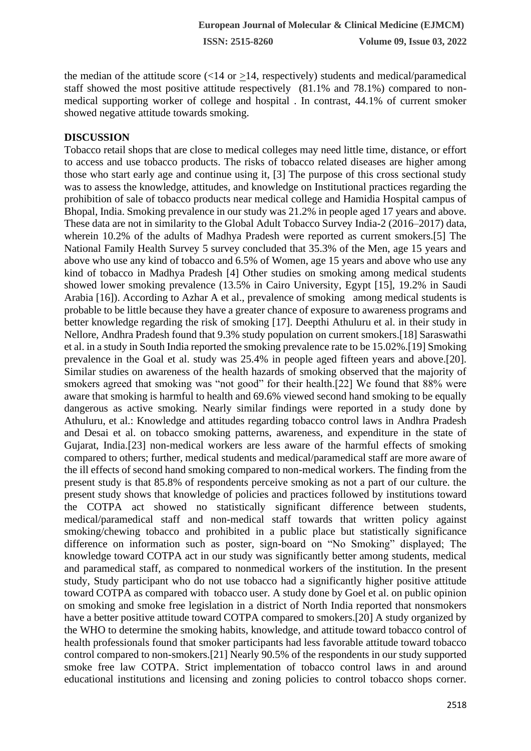the median of the attitude score  $\left($  < 14 or > 14, respectively) students and medical/paramedical staff showed the most positive attitude respectively (81.1% and 78.1%) compared to nonmedical supporting worker of college and hospital . In contrast, 44.1% of current smoker showed negative attitude towards smoking.

#### **DISCUSSION**

Tobacco retail shops that are close to medical colleges may need little time, distance, or effort to access and use tobacco products. The risks of tobacco related diseases are higher among those who start early age and continue using it, [3] The purpose of this cross sectional study was to assess the knowledge, attitudes, and knowledge on Institutional practices regarding the prohibition of sale of tobacco products near medical college and Hamidia Hospital campus of Bhopal, India. Smoking prevalence in our study was 21.2% in people aged 17 years and above. These data are not in similarity to the Global Adult Tobacco Survey India-2 (2016–2017) data, wherein 10.2% of the adults of Madhya Pradesh were reported as current smokers.[5] The National Family Health Survey 5 survey concluded that 35.3% of the Men, age 15 years and above who use any kind of tobacco and 6.5% of Women, age 15 years and above who use any kind of tobacco in Madhya Pradesh [4] Other studies on smoking among medical students showed lower smoking prevalence (13.5% in Cairo University, Egypt [15], 19.2% in Saudi Arabia [16]). According to Azhar A et al., prevalence of smoking among medical students is probable to be little because they have a greater chance of exposure to awareness programs and better knowledge regarding the risk of smoking [17]. Deepthi Athuluru et al. in their study in Nellore, Andhra Pradesh found that 9.3% study population on current smokers.[18] Saraswathi et al. in a study in South India reported the smoking prevalence rate to be 15.02%.[19] Smoking prevalence in the Goal et al. study was 25.4% in people aged fifteen years and above.[20]. Similar studies on awareness of the health hazards of smoking observed that the majority of smokers agreed that smoking was "not good" for their health.[22] We found that 88% were aware that smoking is harmful to health and 69.6% viewed second hand smoking to be equally dangerous as active smoking. Nearly similar findings were reported in a study done by Athuluru, et al.: Knowledge and attitudes regarding tobacco control laws in Andhra Pradesh and Desai et al. on tobacco smoking patterns, awareness, and expenditure in the state of Gujarat, India.[23] non-medical workers are less aware of the harmful effects of smoking compared to others; further, medical students and medical/paramedical staff are more aware of the ill effects of second hand smoking compared to non-medical workers. The finding from the present study is that 85.8% of respondents perceive smoking as not a part of our culture. the present study shows that knowledge of policies and practices followed by institutions toward the COTPA act showed no statistically significant difference between students, medical/paramedical staff and non-medical staff towards that written policy against smoking/chewing tobacco and prohibited in a public place but statistically significance difference on information such as poster, sign-board on "No Smoking" displayed; The knowledge toward COTPA act in our study was significantly better among students, medical and paramedical staff, as compared to nonmedical workers of the institution. In the present study, Study participant who do not use tobacco had a significantly higher positive attitude toward COTPA as compared with tobacco user. A study done by Goel et al. on public opinion on smoking and smoke free legislation in a district of North India reported that nonsmokers have a better positive attitude toward COTPA compared to smokers.[20] A study organized by the WHO to determine the smoking habits, knowledge, and attitude toward tobacco control of health professionals found that smoker participants had less favorable attitude toward tobacco control compared to non-smokers.[21] Nearly 90.5% of the respondents in our study supported smoke free law COTPA. Strict implementation of tobacco control laws in and around educational institutions and licensing and zoning policies to control tobacco shops corner.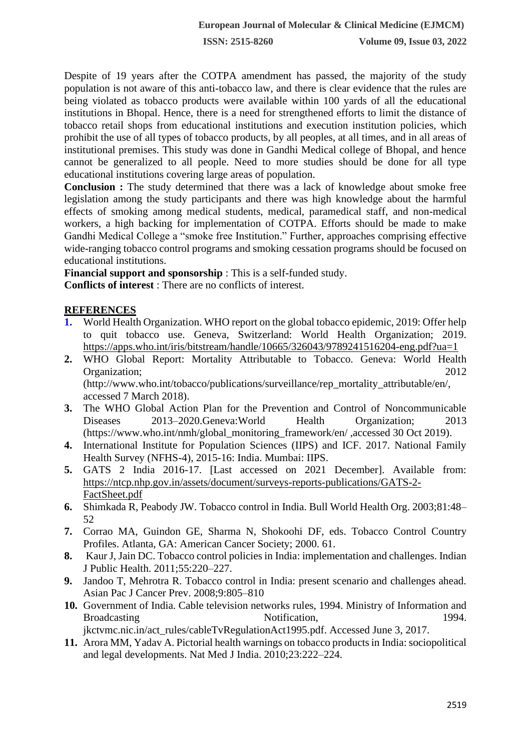Despite of 19 years after the COTPA amendment has passed, the majority of the study population is not aware of this anti-tobacco law, and there is clear evidence that the rules are being violated as tobacco products were available within 100 yards of all the educational institutions in Bhopal. Hence, there is a need for strengthened efforts to limit the distance of tobacco retail shops from educational institutions and execution institution policies, which prohibit the use of all types of tobacco products, by all peoples, at all times, and in all areas of institutional premises. This study was done in Gandhi Medical college of Bhopal, and hence cannot be generalized to all people. Need to more studies should be done for all type educational institutions covering large areas of population.

**Conclusion :** The study determined that there was a lack of knowledge about smoke free legislation among the study participants and there was high knowledge about the harmful effects of smoking among medical students, medical, paramedical staff, and non-medical workers, a high backing for implementation of COTPA. Efforts should be made to make Gandhi Medical College a "smoke free Institution." Further, approaches comprising effective wide-ranging tobacco control programs and smoking cessation programs should be focused on educational institutions.

**Financial support and sponsorship** : This is a self-funded study. **Conflicts of interest** : There are no conflicts of interest.

#### **REFERENCES**

- **1.** World Health Organization. WHO report on the global tobacco epidemic, 2019: Offer help to quit tobacco use. Geneva, Switzerland: World Health Organization; 2019. <https://apps.who.int/iris/bitstream/handle/10665/326043/9789241516204-eng.pdf?ua=1>
- **2.** WHO Global Report: Mortality Attributable to Tobacco. Geneva: World Health Organization; 2012 (http://www.who.int/tobacco/publications/surveillance/rep\_mortality\_attributable/en/, accessed 7 March 2018).
- **3.** The WHO Global Action Plan for the Prevention and Control of Noncommunicable Diseases 2013–2020.Geneva:World Health Organization; 2013 (https://www.who.int/nmh/global\_monitoring\_framework/en/ ,accessed 30 Oct 2019).
- **4.** International Institute for Population Sciences (IIPS) and ICF. 2017. National Family Health Survey (NFHS-4), 2015-16: India. Mumbai: IIPS.
- **5.** GATS 2 India 2016-17. [Last accessed on 2021 December]. Available from: [https://ntcp.nhp.gov.in/assets/document/surveys-reports-publications/GATS-2-](https://ntcp.nhp.gov.in/assets/document/surveys-reports-publications/GATS-2-FactSheet.pdf) [FactSheet.pdf](https://ntcp.nhp.gov.in/assets/document/surveys-reports-publications/GATS-2-FactSheet.pdf)
- **6.** Shimkada R, Peabody JW. Tobacco control in India. Bull World Health Org. 2003;81:48– 52
- **7.** Corrao MA, Guindon GE, Sharma N, Shokoohi DF, eds. Tobacco Control Country Profiles. Atlanta, GA: American Cancer Society; 2000. 61.
- **8.** Kaur J, Jain DC. Tobacco control policies in India: implementation and challenges. Indian J Public Health. 2011;55:220–227.
- **9.** Jandoo T, Mehrotra R. Tobacco control in India: present scenario and challenges ahead. Asian Pac J Cancer Prev. 2008;9:805–810
- **10.** Government of India. Cable television networks rules, 1994. Ministry of Information and Broadcasting Notification, 1994. jkctvmc.nic.in/act\_rules/cableTvRegulationAct1995.pdf. Accessed June 3, 2017.
- **11.** Arora MM, Yadav A. Pictorial health warnings on tobacco products in India: sociopolitical and legal developments. Nat Med J India. 2010;23:222–224.